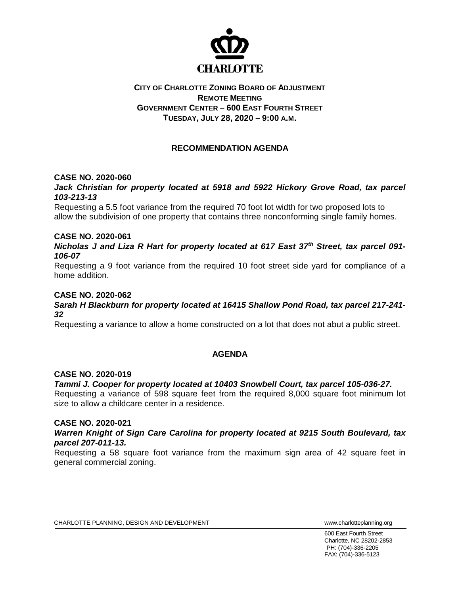

## **CITY OF CHARLOTTE ZONING BOARD OF ADJUSTMENT REMOTE MEETING GOVERNMENT CENTER – 600 EAST FOURTH STREET TUESDAY, JULY 28, 2020 – 9:00 A.M.**

# **RECOMMENDATION AGENDA**

### **CASE NO. 2020-060**

### *Jack Christian for property located at 5918 and 5922 Hickory Grove Road, tax parcel 103-213-13*

Requesting a 5.5 foot variance from the required 70 foot lot width for two proposed lots to allow the subdivision of one property that contains three nonconforming single family homes.

#### **CASE NO. 2020-061**

*Nicholas J and Liza R Hart for property located at 617 East 37th Street, tax parcel 091- 106-07*

Requesting a 9 foot variance from the required 10 foot street side yard for compliance of a home addition.

#### **CASE NO. 2020-062**

#### *Sarah H Blackburn for property located at 16415 Shallow Pond Road, tax parcel 217-241- 32*

Requesting a variance to allow a home constructed on a lot that does not abut a public street.

### **AGENDA**

#### **CASE NO. 2020-019**

### *Tammi J. Cooper for property located at 10403 Snowbell Court, tax parcel 105-036-27.*

Requesting a variance of 598 square feet from the required 8,000 square foot minimum lot size to allow a childcare center in a residence.

#### **CASE NO. 2020-021**

#### *Warren Knight of Sign Care Carolina for property located at 9215 South Boulevard, tax parcel 207-011-13.*

Requesting a 58 square foot variance from the maximum sign area of 42 square feet in general commercial zoning.

CHARLOTTE PLANNING, DESIGN AND DEVELOPMENT WWW.CHARLOTTE WWW.charlotteplanning.org

600 East Fourth Street Charlotte, NC 28202-2853 PH: (704)-336-2205 FAX: (704)-336-5123